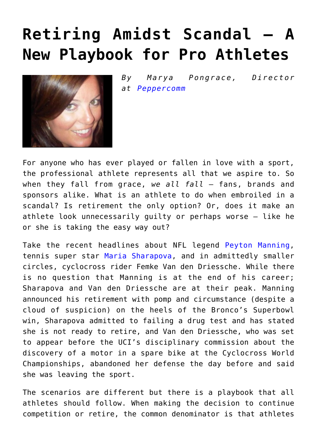## **[Retiring Amidst Scandal – A](https://www.commpro.biz/retiring-amidst-scandal-a-new-playbook-for-pro-athletes/) [New Playbook for Pro Athletes](https://www.commpro.biz/retiring-amidst-scandal-a-new-playbook-for-pro-athletes/)**



*By Marya Pongrace, Director at [Peppercomm](https://peppercomm.com/)*

For anyone who has ever played or fallen in love with a sport, the professional athlete represents all that we aspire to. So when they fall from grace, *we all fall* – fans, brands and sponsors alike. What is an athlete to do when embroiled in a scandal? Is retirement the only option? Or, does it make an athlete look unnecessarily guilty or perhaps worse – like he or she is taking the easy way out?

Take the recent headlines about NFL legend [Peyton Manning,](https://www.commpro.biz/?s=peyton+manning) tennis super star [Maria Sharapova,](https://www.commpro.biz/?s=Maria+Sharapova) and in admittedly smaller circles, cyclocross rider Femke Van den Driessche. While there is no question that Manning is at the end of his career; Sharapova and Van den Driessche are at their peak. Manning announced his retirement with pomp and circumstance (despite a cloud of suspicion) on the heels of the Bronco's Superbowl win, Sharapova admitted to failing a drug test and has stated she is not ready to retire, and Van den Driessche, who was set to appear before the UCI's disciplinary commission about the discovery of a motor in a spare bike at the Cyclocross World Championships, abandoned her defense the day before and said she was leaving the sport.

The scenarios are different but there is a playbook that all athletes should follow. When making the decision to continue competition or retire, the common denominator is that athletes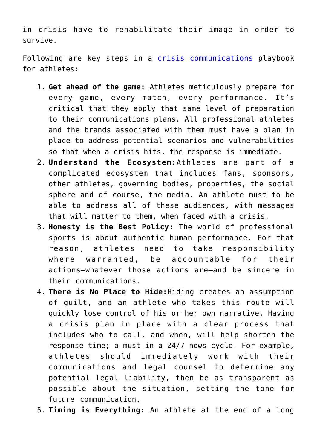in crisis have to rehabilitate their image in order to survive.

Following are key steps in a [crisis communications](https://www.commpro.biz/?s=crisis+communications) playbook for athletes:

- 1. **Get ahead of the game:** Athletes meticulously prepare for every game, every match, every performance. It's critical that they apply that same level of preparation to their communications plans. All professional athletes and the brands associated with them must have a plan in place to address potential scenarios and vulnerabilities so that when a crisis hits, the response is immediate.
- 2. **Understand the Ecosystem:**Athletes are part of a complicated ecosystem that includes fans, sponsors, other athletes, governing bodies, properties, the social sphere and of course, the media. An athlete must to be able to address all of these audiences, with messages that will matter to them, when faced with a crisis.
- 3. **Honesty is the Best Policy:** The world of professional sports is about authentic human performance. For that reason, athletes need to take responsibility where warranted, be accountable for their actions―whatever those actions are―and be sincere in their communications.
- 4. **There is No Place to Hide:**Hiding creates an assumption of guilt, and an athlete who takes this route will quickly lose control of his or her own narrative. Having a crisis plan in place with a clear process that includes who to call, and when, will help shorten the response time; a must in a 24/7 news cycle. For example, athletes should immediately work with their communications and legal counsel to determine any potential legal liability, then be as transparent as possible about the situation, setting the tone for future communication.
- 5. **Timing is Everything:** An athlete at the end of a long